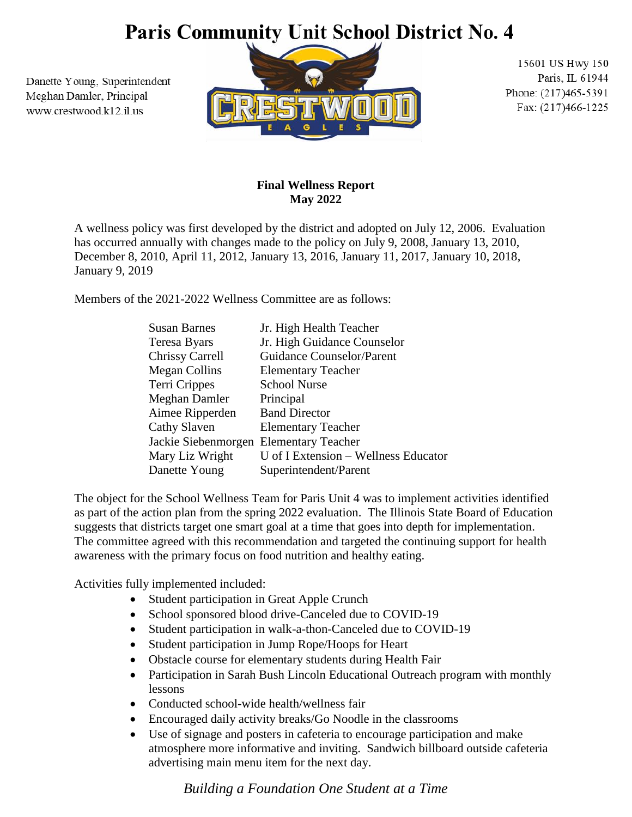# Paris Community Unit School District No. 4

Danette Young, Superintendent Meghan Damler, Principal www.crestwood.k12.il.us



15601 US Hwy 150 Paris, IL 61944 Phone: (217)465-5391 Fax: (217)466-1225

### **Final Wellness Report May 2022**

A wellness policy was first developed by the district and adopted on July 12, 2006. Evaluation has occurred annually with changes made to the policy on July 9, 2008, January 13, 2010, December 8, 2010, April 11, 2012, January 13, 2016, January 11, 2017, January 10, 2018, January 9, 2019

Members of the 2021-2022 Wellness Committee are as follows:

| <b>Susan Barnes</b>                    | Jr. High Health Teacher              |
|----------------------------------------|--------------------------------------|
| Teresa Byars                           | Jr. High Guidance Counselor          |
| <b>Chrissy Carrell</b>                 | <b>Guidance Counselor/Parent</b>     |
| <b>Megan Collins</b>                   | <b>Elementary Teacher</b>            |
| Terri Crippes                          | <b>School Nurse</b>                  |
| Meghan Damler                          | Principal                            |
| Aimee Ripperden                        | <b>Band Director</b>                 |
| Cathy Slaven                           | <b>Elementary Teacher</b>            |
| Jackie Siebenmorgen Elementary Teacher |                                      |
| Mary Liz Wright                        | U of I Extension - Wellness Educator |
| Danette Young                          | Superintendent/Parent                |

The object for the School Wellness Team for Paris Unit 4 was to implement activities identified as part of the action plan from the spring 2022 evaluation. The Illinois State Board of Education suggests that districts target one smart goal at a time that goes into depth for implementation. The committee agreed with this recommendation and targeted the continuing support for health awareness with the primary focus on food nutrition and healthy eating.

Activities fully implemented included:

- Student participation in Great Apple Crunch
- School sponsored blood drive-Canceled due to COVID-19
- Student participation in walk-a-thon-Canceled due to COVID-19
- Student participation in Jump Rope/Hoops for Heart
- Obstacle course for elementary students during Health Fair
- Participation in Sarah Bush Lincoln Educational Outreach program with monthly lessons
- Conducted school-wide health/wellness fair
- Encouraged daily activity breaks/Go Noodle in the classrooms
- Use of signage and posters in cafeteria to encourage participation and make atmosphere more informative and inviting. Sandwich billboard outside cafeteria advertising main menu item for the next day.

*Building a Foundation One Student at a Time*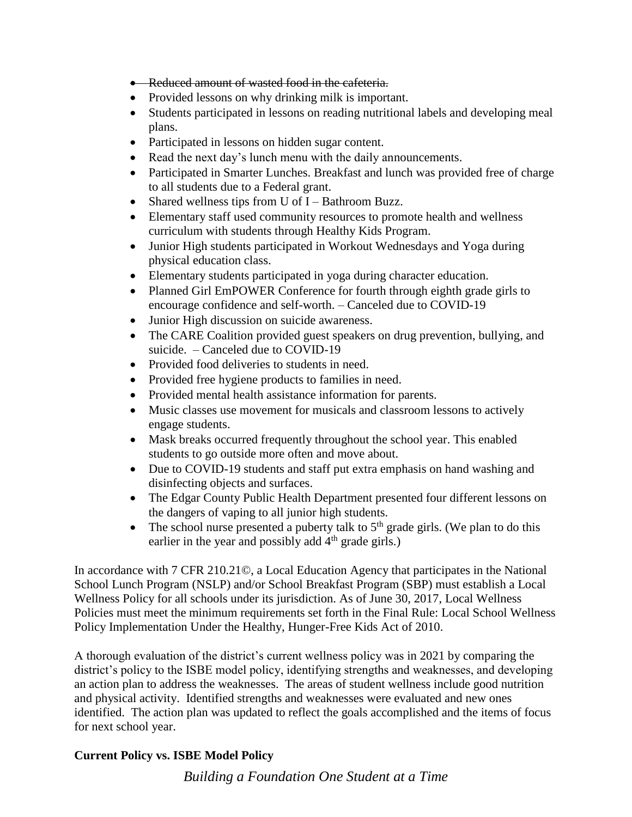- Reduced amount of wasted food in the cafeteria.
- Provided lessons on why drinking milk is important.
- Students participated in lessons on reading nutritional labels and developing meal plans.
- Participated in lessons on hidden sugar content.
- Read the next day's lunch menu with the daily announcements.
- Participated in Smarter Lunches. Breakfast and lunch was provided free of charge to all students due to a Federal grant.
- Shared wellness tips from U of I Bathroom Buzz.
- Elementary staff used community resources to promote health and wellness curriculum with students through Healthy Kids Program.
- Junior High students participated in Workout Wednesdays and Yoga during physical education class.
- Elementary students participated in yoga during character education.
- Planned Girl EmPOWER Conference for fourth through eighth grade girls to encourage confidence and self-worth. – Canceled due to COVID-19
- Junior High discussion on suicide awareness.
- The CARE Coalition provided guest speakers on drug prevention, bullying, and suicide. – Canceled due to COVID-19
- Provided food deliveries to students in need.
- Provided free hygiene products to families in need.
- Provided mental health assistance information for parents.
- Music classes use movement for musicals and classroom lessons to actively engage students.
- Mask breaks occurred frequently throughout the school year. This enabled students to go outside more often and move about.
- Due to COVID-19 students and staff put extra emphasis on hand washing and disinfecting objects and surfaces.
- The Edgar County Public Health Department presented four different lessons on the dangers of vaping to all junior high students.
- The school nurse presented a puberty talk to  $5<sup>th</sup>$  grade girls. (We plan to do this earlier in the year and possibly add  $4<sup>th</sup>$  grade girls.)

In accordance with 7 CFR 210.21©, a Local Education Agency that participates in the National School Lunch Program (NSLP) and/or School Breakfast Program (SBP) must establish a Local Wellness Policy for all schools under its jurisdiction. As of June 30, 2017, Local Wellness Policies must meet the minimum requirements set forth in the Final Rule: Local School Wellness Policy Implementation Under the Healthy, Hunger-Free Kids Act of 2010.

A thorough evaluation of the district's current wellness policy was in 2021 by comparing the district's policy to the ISBE model policy, identifying strengths and weaknesses, and developing an action plan to address the weaknesses. The areas of student wellness include good nutrition and physical activity. Identified strengths and weaknesses were evaluated and new ones identified. The action plan was updated to reflect the goals accomplished and the items of focus for next school year.

## **Current Policy vs. ISBE Model Policy**

*Building a Foundation One Student at a Time*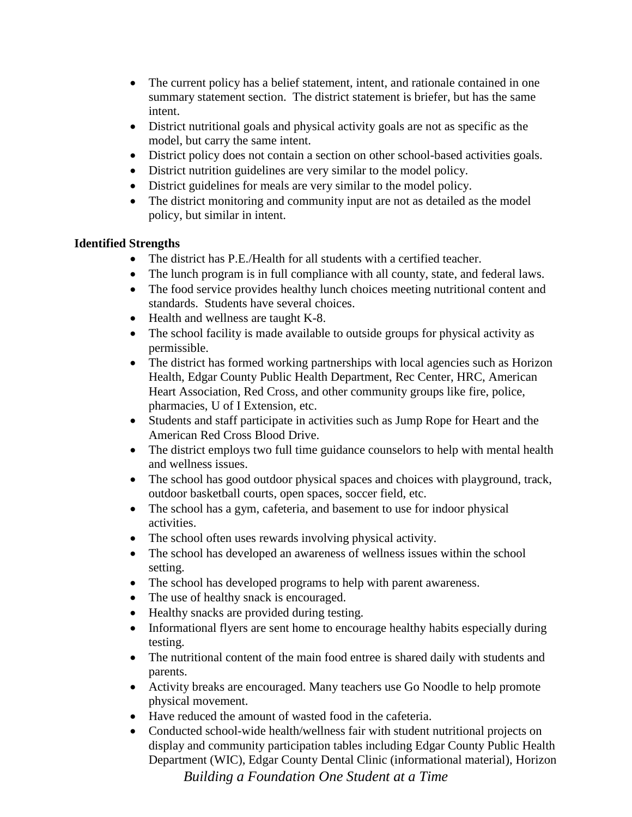- The current policy has a belief statement, intent, and rationale contained in one summary statement section. The district statement is briefer, but has the same intent.
- District nutritional goals and physical activity goals are not as specific as the model, but carry the same intent.
- District policy does not contain a section on other school-based activities goals.
- District nutrition guidelines are very similar to the model policy.
- District guidelines for meals are very similar to the model policy.
- The district monitoring and community input are not as detailed as the model policy, but similar in intent.

## **Identified Strengths**

- The district has P.E./Health for all students with a certified teacher.
- The lunch program is in full compliance with all county, state, and federal laws.
- The food service provides healthy lunch choices meeting nutritional content and standards. Students have several choices.
- Health and wellness are taught K-8.
- The school facility is made available to outside groups for physical activity as permissible.
- The district has formed working partnerships with local agencies such as Horizon Health, Edgar County Public Health Department, Rec Center, HRC, American Heart Association, Red Cross, and other community groups like fire, police, pharmacies, U of I Extension, etc.
- Students and staff participate in activities such as Jump Rope for Heart and the American Red Cross Blood Drive.
- The district employs two full time guidance counselors to help with mental health and wellness issues.
- The school has good outdoor physical spaces and choices with playground, track, outdoor basketball courts, open spaces, soccer field, etc.
- The school has a gym, cafeteria, and basement to use for indoor physical activities.
- The school often uses rewards involving physical activity.
- The school has developed an awareness of wellness issues within the school setting.
- The school has developed programs to help with parent awareness.
- The use of healthy snack is encouraged.
- Healthy snacks are provided during testing.
- Informational flyers are sent home to encourage healthy habits especially during testing.
- The nutritional content of the main food entree is shared daily with students and parents.
- Activity breaks are encouraged. Many teachers use Go Noodle to help promote physical movement.
- Have reduced the amount of wasted food in the cafeteria.
- Conducted school-wide health/wellness fair with student nutritional projects on display and community participation tables including Edgar County Public Health Department (WIC), Edgar County Dental Clinic (informational material), Horizon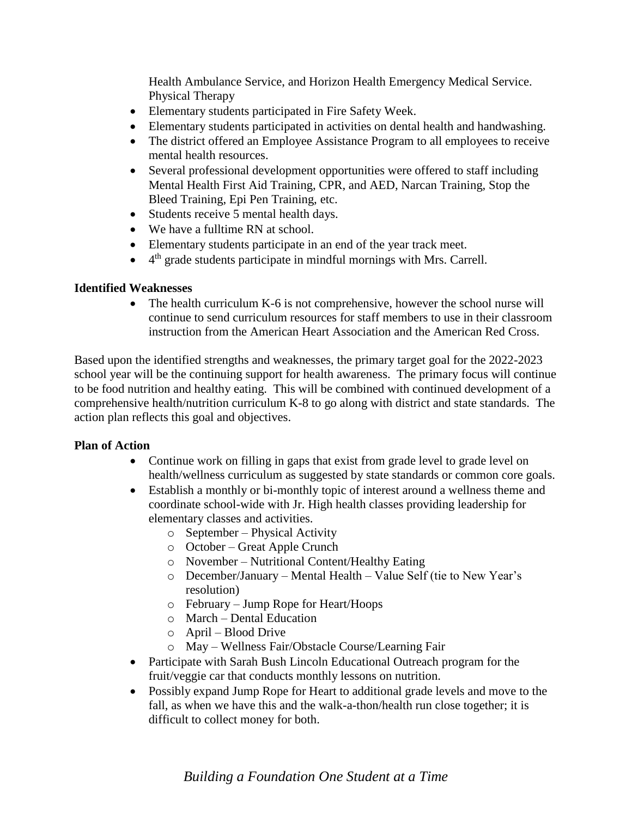Health Ambulance Service, and Horizon Health Emergency Medical Service. Physical Therapy

- Elementary students participated in Fire Safety Week.
- Elementary students participated in activities on dental health and handwashing.
- The district offered an Employee Assistance Program to all employees to receive mental health resources.
- Several professional development opportunities were offered to staff including Mental Health First Aid Training, CPR, and AED, Narcan Training, Stop the Bleed Training, Epi Pen Training, etc.
- Students receive 5 mental health days.
- We have a fulltime RN at school.
- Elementary students participate in an end of the year track meet.
- $\bullet$  4<sup>th</sup> grade students participate in mindful mornings with Mrs. Carrell.

#### **Identified Weaknesses**

• The health curriculum K-6 is not comprehensive, however the school nurse will continue to send curriculum resources for staff members to use in their classroom instruction from the American Heart Association and the American Red Cross.

Based upon the identified strengths and weaknesses, the primary target goal for the 2022-2023 school year will be the continuing support for health awareness. The primary focus will continue to be food nutrition and healthy eating. This will be combined with continued development of a comprehensive health/nutrition curriculum K-8 to go along with district and state standards. The action plan reflects this goal and objectives.

#### **Plan of Action**

- Continue work on filling in gaps that exist from grade level to grade level on health/wellness curriculum as suggested by state standards or common core goals.
- Establish a monthly or bi-monthly topic of interest around a wellness theme and coordinate school-wide with Jr. High health classes providing leadership for elementary classes and activities.
	- o September Physical Activity
	- o October Great Apple Crunch
	- o November Nutritional Content/Healthy Eating
	- o December/January Mental Health Value Self (tie to New Year's resolution)
	- o February Jump Rope for Heart/Hoops
	- o March Dental Education
	- o April Blood Drive
	- o May Wellness Fair/Obstacle Course/Learning Fair
- Participate with Sarah Bush Lincoln Educational Outreach program for the fruit/veggie car that conducts monthly lessons on nutrition.
- Possibly expand Jump Rope for Heart to additional grade levels and move to the fall, as when we have this and the walk-a-thon/health run close together; it is difficult to collect money for both.